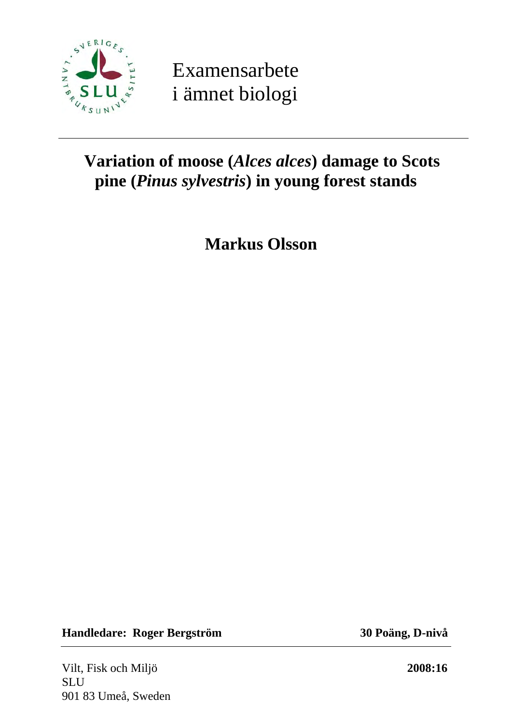

Examensarbete i ämnet biologi

# **Variation of moose (***Alces alces***) damage to Scots pine (***Pinus sylvestris***) in young forest stands**

**Markus Olsson** 

**Handledare: Roger Bergström 30 Poäng, D-nivå** 

Vilt, Fisk och Miljö **2008:16 SLU** 901 83 Umeå, Sweden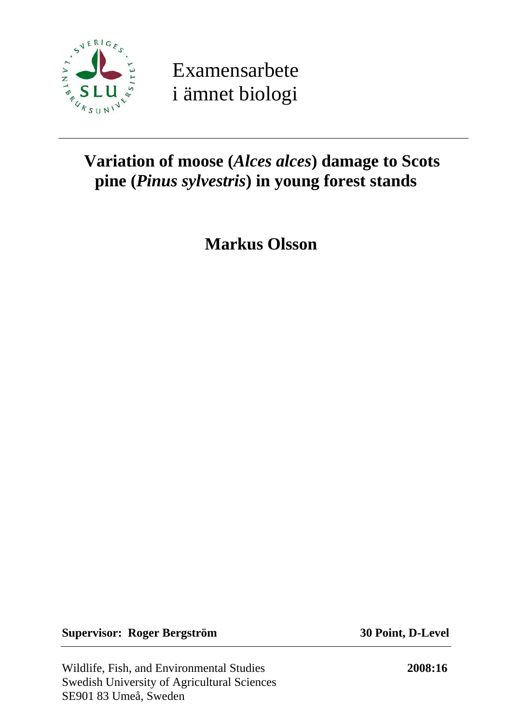

Examensarbete i ämnet biologi

# **Variation of moose (***Alces alces***) damage to Scots pine (***Pinus sylvestris***) in young forest stands**

**Markus Olsson** 

**Supervisor: Roger Bergström 30 Point, D-Level** 

Wildlife, Fish, and Environmental Studies **2008:16**  Swedish University of Agricultural Sciences SE901 83 Umeå, Sweden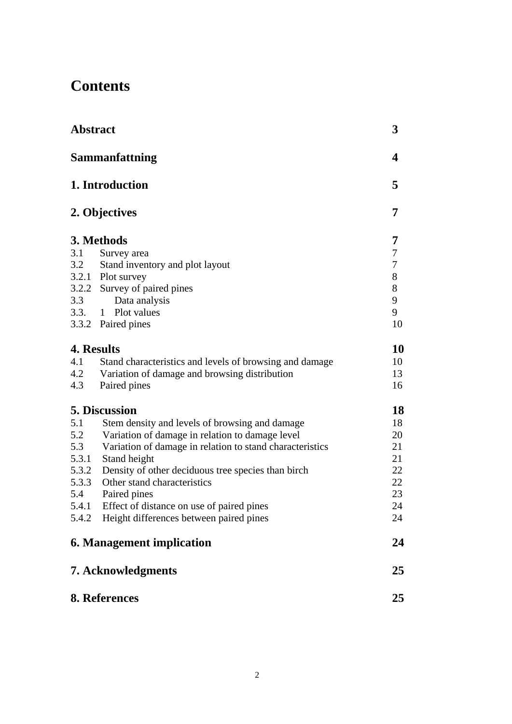# **Contents**

| <b>Abstract</b> |                                                          | 3     |
|-----------------|----------------------------------------------------------|-------|
|                 | <b>Sammanfattning</b>                                    | 4     |
|                 | 1. Introduction                                          | 5     |
|                 | 2. Objectives                                            | 7     |
|                 | 3. Methods                                               | 7     |
| 3.1             | Survey area                                              | 7     |
| 3.2             | Stand inventory and plot layout                          | 7     |
|                 | 3.2.1 Plot survey                                        | $8\,$ |
|                 | 3.2.2 Survey of paired pines                             | 8     |
| 3.3             | Data analysis                                            | 9     |
| 3.3.            | 1 Plot values                                            | 9     |
|                 | 3.3.2 Paired pines                                       | 10    |
|                 | 4. Results                                               | 10    |
| 4.1             | Stand characteristics and levels of browsing and damage  | 10    |
| 4.2             | Variation of damage and browsing distribution            | 13    |
| 4.3             | Paired pines                                             | 16    |
|                 | <b>5. Discussion</b>                                     | 18    |
| 5.1             | Stem density and levels of browsing and damage           | 18    |
| 5.2             | Variation of damage in relation to damage level          | 20    |
| 5.3             | Variation of damage in relation to stand characteristics | 21    |
| 5.3.1           | Stand height                                             | 21    |
| 5.3.2           | Density of other deciduous tree species than birch       | 22    |
| 5.3.3           | Other stand characteristics                              | 22    |
| 5.4             | Paired pines                                             | 23    |
| 5.4.1           | Effect of distance on use of paired pines                | 24    |
|                 | 5.4.2 Height differences between paired pines            | 24    |
|                 | <b>6. Management implication</b>                         | 24    |
|                 | 7. Acknowledgments                                       | 25    |
|                 | 8. References                                            | 25    |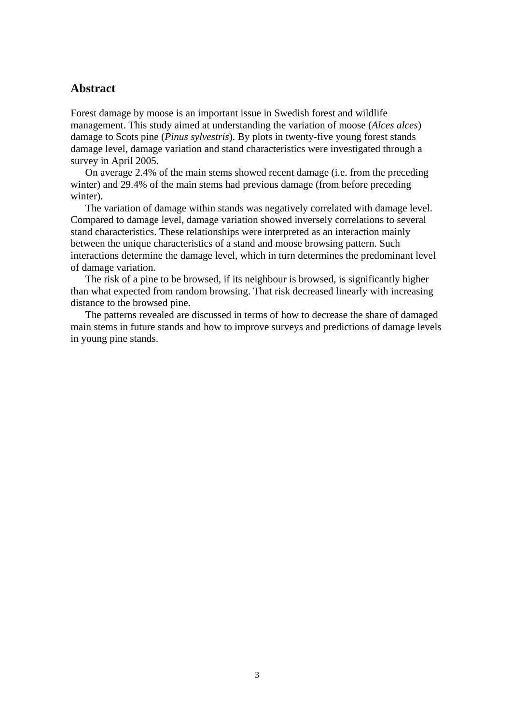# **Abstract**

Forest damage by moose is an important issue in Swedish forest and wildlife management. This study aimed at understanding the variation of moose (*Alces alces*) damage to Scots pine (*Pinus sylvestris*). By plots in twenty-five young forest stands damage level, damage variation and stand characteristics were investigated through a survey in April 2005.

 On average 2.4% of the main stems showed recent damage (i.e. from the preceding winter) and 29.4% of the main stems had previous damage (from before preceding winter).

 The variation of damage within stands was negatively correlated with damage level. Compared to damage level, damage variation showed inversely correlations to several stand characteristics. These relationships were interpreted as an interaction mainly between the unique characteristics of a stand and moose browsing pattern. Such interactions determine the damage level, which in turn determines the predominant level of damage variation.

 The risk of a pine to be browsed, if its neighbour is browsed, is significantly higher than what expected from random browsing. That risk decreased linearly with increasing distance to the browsed pine.

 The patterns revealed are discussed in terms of how to decrease the share of damaged main stems in future stands and how to improve surveys and predictions of damage levels in young pine stands.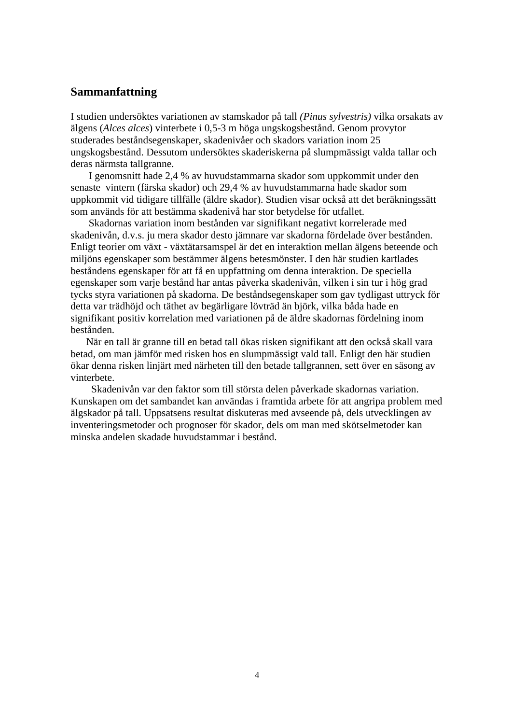## **Sammanfattning**

I studien undersöktes variationen av stamskador på tall *(Pinus sylvestris)* vilka orsakats av älgens (*Alces alces*) vinterbete i 0,5-3 m höga ungskogsbestånd. Genom provytor studerades beståndsegenskaper, skadenivåer och skadors variation inom 25 ungskogsbestånd. Dessutom undersöktes skaderiskerna på slumpmässigt valda tallar och deras närmsta tallgranne.

 I genomsnitt hade 2,4 % av huvudstammarna skador som uppkommit under den senaste vintern (färska skador) och 29,4 % av huvudstammarna hade skador som uppkommit vid tidigare tillfälle (äldre skador). Studien visar också att det beräkningssätt som används för att bestämma skadenivå har stor betydelse för utfallet.

 Skadornas variation inom bestånden var signifikant negativt korrelerade med skadenivån, d.v.s. ju mera skador desto jämnare var skadorna fördelade över bestånden. Enligt teorier om växt - växtätarsamspel är det en interaktion mellan älgens beteende och miljöns egenskaper som bestämmer älgens betesmönster. I den här studien kartlades beståndens egenskaper för att få en uppfattning om denna interaktion. De speciella egenskaper som varje bestånd har antas påverka skadenivån, vilken i sin tur i hög grad tycks styra variationen på skadorna. De beståndsegenskaper som gav tydligast uttryck för detta var trädhöjd och täthet av begärligare lövträd än björk, vilka båda hade en signifikant positiv korrelation med variationen på de äldre skadornas fördelning inom bestånden.

 När en tall är granne till en betad tall ökas risken signifikant att den också skall vara betad, om man jämför med risken hos en slumpmässigt vald tall. Enligt den här studien ökar denna risken linjärt med närheten till den betade tallgrannen, sett över en säsong av vinterbete.

 Skadenivån var den faktor som till största delen påverkade skadornas variation. Kunskapen om det sambandet kan användas i framtida arbete för att angripa problem med älgskador på tall. Uppsatsens resultat diskuteras med avseende på, dels utvecklingen av inventeringsmetoder och prognoser för skador, dels om man med skötselmetoder kan minska andelen skadade huvudstammar i bestånd.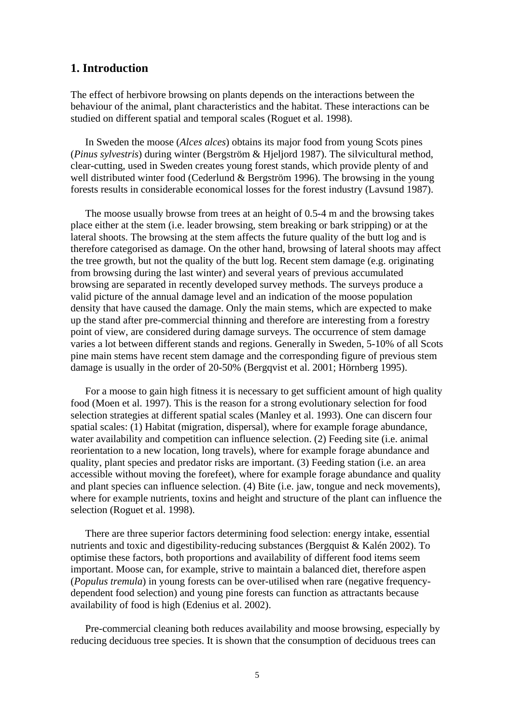## **1. Introduction**

The effect of herbivore browsing on plants depends on the interactions between the behaviour of the animal, plant characteristics and the habitat. These interactions can be studied on different spatial and temporal scales (Roguet et al. 1998).

In Sweden the moose (*Alces alces*) obtains its major food from young Scots pines (*Pinus sylvestris*) during winter (Bergström & Hjeljord 1987). The silvicultural method, clear-cutting, used in Sweden creates young forest stands, which provide plenty of and well distributed winter food (Cederlund & Bergström 1996). The browsing in the young forests results in considerable economical losses for the forest industry (Lavsund 1987).

The moose usually browse from trees at an height of 0.5-4 m and the browsing takes place either at the stem (i.e. leader browsing, stem breaking or bark stripping) or at the lateral shoots. The browsing at the stem affects the future quality of the butt log and is therefore categorised as damage. On the other hand, browsing of lateral shoots may affect the tree growth, but not the quality of the butt log. Recent stem damage (e.g. originating from browsing during the last winter) and several years of previous accumulated browsing are separated in recently developed survey methods. The surveys produce a valid picture of the annual damage level and an indication of the moose population density that have caused the damage. Only the main stems, which are expected to make up the stand after pre-commercial thinning and therefore are interesting from a forestry point of view, are considered during damage surveys. The occurrence of stem damage varies a lot between different stands and regions. Generally in Sweden, 5-10% of all Scots pine main stems have recent stem damage and the corresponding figure of previous stem damage is usually in the order of 20-50% (Bergqvist et al. 2001; Hörnberg 1995).

For a moose to gain high fitness it is necessary to get sufficient amount of high quality food (Moen et al. 1997). This is the reason for a strong evolutionary selection for food selection strategies at different spatial scales (Manley et al. 1993). One can discern four spatial scales: (1) Habitat (migration, dispersal), where for example forage abundance, water availability and competition can influence selection. (2) Feeding site (i.e. animal reorientation to a new location, long travels), where for example forage abundance and quality, plant species and predator risks are important. (3) Feeding station (i.e. an area accessible without moving the forefeet), where for example forage abundance and quality and plant species can influence selection. (4) Bite (i.e. jaw, tongue and neck movements), where for example nutrients, toxins and height and structure of the plant can influence the selection (Roguet et al. 1998).

There are three superior factors determining food selection: energy intake, essential nutrients and toxic and digestibility-reducing substances (Bergquist & Kalén 2002). To optimise these factors, both proportions and availability of different food items seem important. Moose can, for example, strive to maintain a balanced diet, therefore aspen (*Populus tremula*) in young forests can be over-utilised when rare (negative frequencydependent food selection) and young pine forests can function as attractants because availability of food is high (Edenius et al. 2002).

Pre-commercial cleaning both reduces availability and moose browsing, especially by reducing deciduous tree species. It is shown that the consumption of deciduous trees can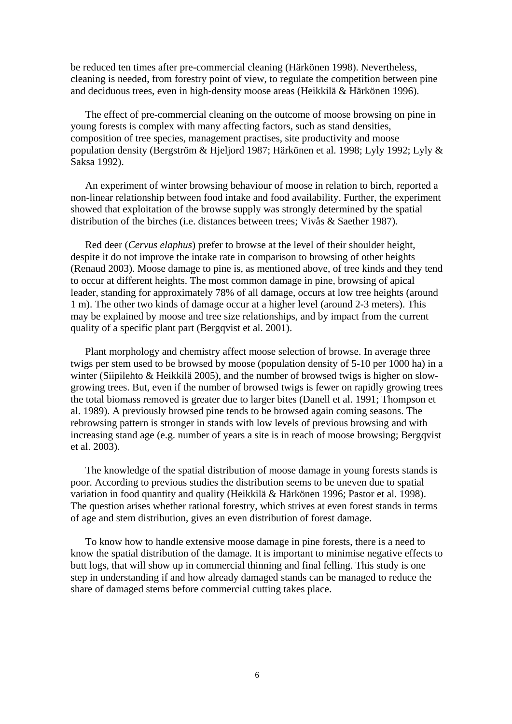be reduced ten times after pre-commercial cleaning (Härkönen 1998). Nevertheless, cleaning is needed, from forestry point of view, to regulate the competition between pine and deciduous trees, even in high-density moose areas (Heikkilä & Härkönen 1996).

The effect of pre-commercial cleaning on the outcome of moose browsing on pine in young forests is complex with many affecting factors, such as stand densities, composition of tree species, management practises, site productivity and moose population density (Bergström & Hjeljord 1987; Härkönen et al. 1998; Lyly 1992; Lyly & Saksa 1992).

An experiment of winter browsing behaviour of moose in relation to birch, reported a non-linear relationship between food intake and food availability. Further, the experiment showed that exploitation of the browse supply was strongly determined by the spatial distribution of the birches (i.e. distances between trees; Vivås & Saether 1987).

Red deer (*Cervus elaphus*) prefer to browse at the level of their shoulder height, despite it do not improve the intake rate in comparison to browsing of other heights (Renaud 2003). Moose damage to pine is, as mentioned above, of tree kinds and they tend to occur at different heights. The most common damage in pine, browsing of apical leader, standing for approximately 78% of all damage, occurs at low tree heights (around 1 m). The other two kinds of damage occur at a higher level (around 2-3 meters). This may be explained by moose and tree size relationships, and by impact from the current quality of a specific plant part (Bergqvist et al. 2001).

 Plant morphology and chemistry affect moose selection of browse. In average three twigs per stem used to be browsed by moose (population density of 5-10 per 1000 ha) in a winter (Siipilehto & Heikkilä 2005), and the number of browsed twigs is higher on slowgrowing trees. But, even if the number of browsed twigs is fewer on rapidly growing trees the total biomass removed is greater due to larger bites (Danell et al. 1991; Thompson et al. 1989). A previously browsed pine tends to be browsed again coming seasons. The rebrowsing pattern is stronger in stands with low levels of previous browsing and with increasing stand age (e.g. number of years a site is in reach of moose browsing; Bergqvist et al. 2003).

The knowledge of the spatial distribution of moose damage in young forests stands is poor. According to previous studies the distribution seems to be uneven due to spatial variation in food quantity and quality (Heikkilä & Härkönen 1996; Pastor et al. 1998). The question arises whether rational forestry, which strives at even forest stands in terms of age and stem distribution, gives an even distribution of forest damage.

 To know how to handle extensive moose damage in pine forests, there is a need to know the spatial distribution of the damage. It is important to minimise negative effects to butt logs, that will show up in commercial thinning and final felling. This study is one step in understanding if and how already damaged stands can be managed to reduce the share of damaged stems before commercial cutting takes place.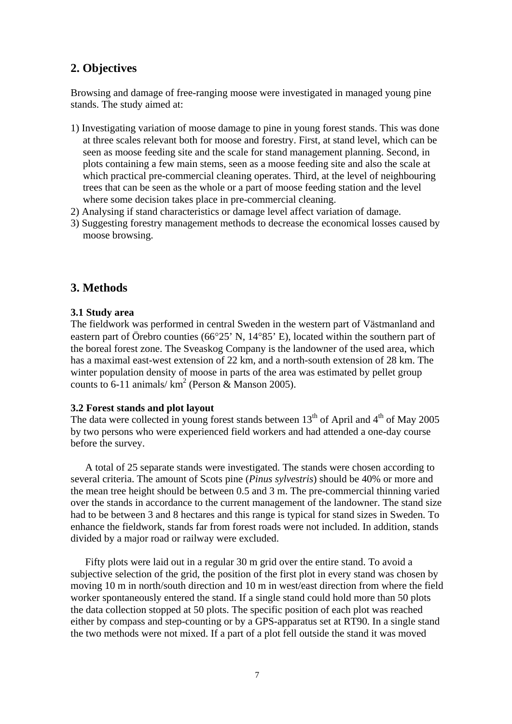# **2. Objectives**

Browsing and damage of free-ranging moose were investigated in managed young pine stands. The study aimed at:

- 1) Investigating variation of moose damage to pine in young forest stands. This was done at three scales relevant both for moose and forestry. First, at stand level, which can be seen as moose feeding site and the scale for stand management planning. Second, in plots containing a few main stems, seen as a moose feeding site and also the scale at which practical pre-commercial cleaning operates. Third, at the level of neighbouring trees that can be seen as the whole or a part of moose feeding station and the level where some decision takes place in pre-commercial cleaning.
- 2) Analysing if stand characteristics or damage level affect variation of damage.
- 3) Suggesting forestry management methods to decrease the economical losses caused by moose browsing.

# **3. Methods**

#### **3.1 Study area**

The fieldwork was performed in central Sweden in the western part of Västmanland and eastern part of Örebro counties (66 $\degree$ 25' N, 14 $\degree$ 85' E), located within the southern part of the boreal forest zone. The Sveaskog Company is the landowner of the used area, which has a maximal east-west extension of 22 km, and a north-south extension of 28 km. The winter population density of moose in parts of the area was estimated by pellet group counts to 6-11 animals/ $km^2$  (Person & Manson 2005).

#### **3.2 Forest stands and plot layout**

The data were collected in young forest stands between  $13<sup>th</sup>$  of April and  $4<sup>th</sup>$  of May 2005 by two persons who were experienced field workers and had attended a one-day course before the survey.

A total of 25 separate stands were investigated. The stands were chosen according to several criteria. The amount of Scots pine (*Pinus sylvestris*) should be 40% or more and the mean tree height should be between 0.5 and 3 m. The pre-commercial thinning varied over the stands in accordance to the current management of the landowner. The stand size had to be between 3 and 8 hectares and this range is typical for stand sizes in Sweden. To enhance the fieldwork, stands far from forest roads were not included. In addition, stands divided by a major road or railway were excluded.

 Fifty plots were laid out in a regular 30 m grid over the entire stand. To avoid a subjective selection of the grid, the position of the first plot in every stand was chosen by moving 10 m in north/south direction and 10 m in west/east direction from where the field worker spontaneously entered the stand. If a single stand could hold more than 50 plots the data collection stopped at 50 plots. The specific position of each plot was reached either by compass and step-counting or by a GPS-apparatus set at RT90. In a single stand the two methods were not mixed. If a part of a plot fell outside the stand it was moved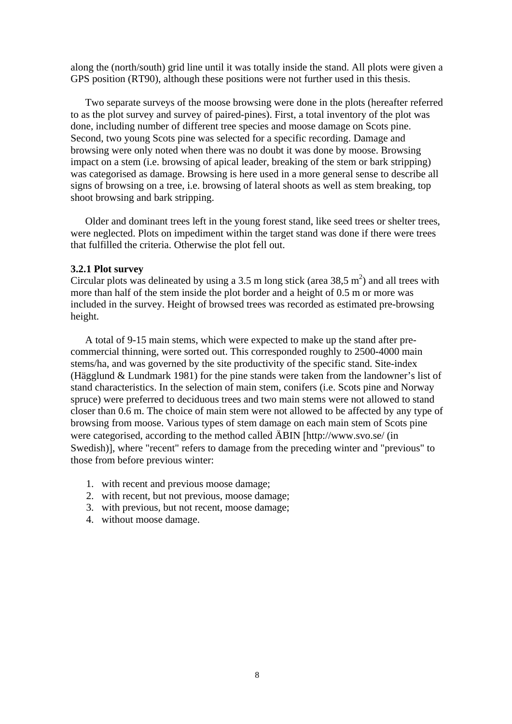along the (north/south) grid line until it was totally inside the stand. All plots were given a GPS position (RT90), although these positions were not further used in this thesis.

 Two separate surveys of the moose browsing were done in the plots (hereafter referred to as the plot survey and survey of paired-pines). First, a total inventory of the plot was done, including number of different tree species and moose damage on Scots pine. Second, two young Scots pine was selected for a specific recording. Damage and browsing were only noted when there was no doubt it was done by moose. Browsing impact on a stem (i.e. browsing of apical leader, breaking of the stem or bark stripping) was categorised as damage. Browsing is here used in a more general sense to describe all signs of browsing on a tree, i.e. browsing of lateral shoots as well as stem breaking, top shoot browsing and bark stripping.

Older and dominant trees left in the young forest stand, like seed trees or shelter trees, were neglected. Plots on impediment within the target stand was done if there were trees that fulfilled the criteria. Otherwise the plot fell out.

#### **3.2.1 Plot survey**

Circular plots was delineated by using a 3.5 m long stick (area 38,5  $m<sup>2</sup>$ ) and all trees with more than half of the stem inside the plot border and a height of 0.5 m or more was included in the survey. Height of browsed trees was recorded as estimated pre-browsing height.

A total of 9-15 main stems, which were expected to make up the stand after precommercial thinning, were sorted out. This corresponded roughly to 2500-4000 main stems/ha, and was governed by the site productivity of the specific stand. Site-index (Hägglund & Lundmark 1981) for the pine stands were taken from the landowner's list of stand characteristics. In the selection of main stem, conifers (i.e. Scots pine and Norway spruce) were preferred to deciduous trees and two main stems were not allowed to stand closer than 0.6 m. The choice of main stem were not allowed to be affected by any type of browsing from moose. Various types of stem damage on each main stem of Scots pine were categorised, according to the method called ÄBIN [http://www.svo.se/ (in Swedish), where "recent" refers to damage from the preceding winter and "previous" to those from before previous winter:

- 1. with recent and previous moose damage;
- 2. with recent, but not previous, moose damage;
- 3. with previous, but not recent, moose damage;
- 4. without moose damage.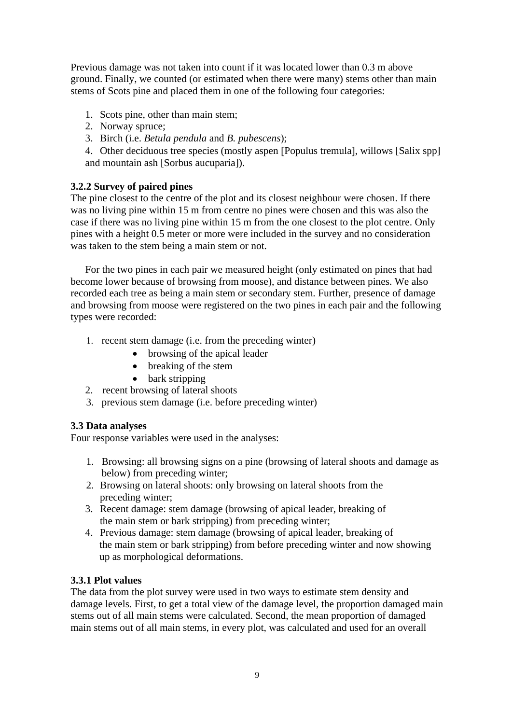Previous damage was not taken into count if it was located lower than 0.3 m above ground. Finally, we counted (or estimated when there were many) stems other than main stems of Scots pine and placed them in one of the following four categories:

- 1. Scots pine, other than main stem;
- 2. Norway spruce;
- 3. Birch (i.e. *Betula pendula* and *B. pubescens*);

4. Other deciduous tree species (mostly aspen Populus tremula, willows [Salix spp] and mountain ash [Sorbus aucuparia]).

# **3.2.2 Survey of paired pines**

The pine closest to the centre of the plot and its closest neighbour were chosen. If there was no living pine within 15 m from centre no pines were chosen and this was also the case if there was no living pine within 15 m from the one closest to the plot centre. Only pines with a height 0.5 meter or more were included in the survey and no consideration was taken to the stem being a main stem or not.

For the two pines in each pair we measured height (only estimated on pines that had become lower because of browsing from moose), and distance between pines. We also recorded each tree as being a main stem or secondary stem. Further, presence of damage and browsing from moose were registered on the two pines in each pair and the following types were recorded:

- 1. recent stem damage (i.e. from the preceding winter)
	- browsing of the apical leader
	- breaking of the stem
	- bark stripping
- 2. recent browsing of lateral shoots
- 3. previous stem damage (i.e. before preceding winter)

# **3.3 Data analyses**

Four response variables were used in the analyses:

- 1. Browsing: all browsing signs on a pine (browsing of lateral shoots and damage as below) from preceding winter;
- 2. Browsing on lateral shoots: only browsing on lateral shoots from the preceding winter;
- 3. Recent damage: stem damage (browsing of apical leader, breaking of the main stem or bark stripping) from preceding winter;
- 4. Previous damage: stem damage (browsing of apical leader, breaking of the main stem or bark stripping) from before preceding winter and now showing up as morphological deformations.

## **3.3.1 Plot values**

The data from the plot survey were used in two ways to estimate stem density and damage levels. First, to get a total view of the damage level, the proportion damaged main stems out of all main stems were calculated. Second, the mean proportion of damaged main stems out of all main stems, in every plot, was calculated and used for an overall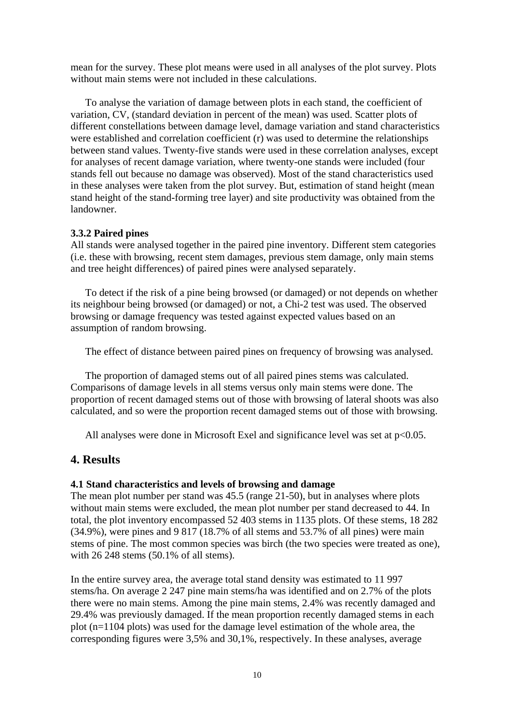mean for the survey. These plot means were used in all analyses of the plot survey. Plots without main stems were not included in these calculations.

To analyse the variation of damage between plots in each stand, the coefficient of variation, CV, (standard deviation in percent of the mean) was used. Scatter plots of different constellations between damage level, damage variation and stand characteristics were established and correlation coefficient (r) was used to determine the relationships between stand values. Twenty-five stands were used in these correlation analyses, except for analyses of recent damage variation, where twenty-one stands were included (four stands fell out because no damage was observed). Most of the stand characteristics used in these analyses were taken from the plot survey. But, estimation of stand height (mean stand height of the stand-forming tree layer) and site productivity was obtained from the landowner.

#### **3.3.2 Paired pines**

All stands were analysed together in the paired pine inventory. Different stem categories (i.e. these with browsing, recent stem damages, previous stem damage, only main stems and tree height differences) of paired pines were analysed separately.

To detect if the risk of a pine being browsed (or damaged) or not depends on whether its neighbour being browsed (or damaged) or not, a Chi-2 test was used. The observed browsing or damage frequency was tested against expected values based on an assumption of random browsing.

The effect of distance between paired pines on frequency of browsing was analysed.

The proportion of damaged stems out of all paired pines stems was calculated. Comparisons of damage levels in all stems versus only main stems were done. The proportion of recent damaged stems out of those with browsing of lateral shoots was also calculated, and so were the proportion recent damaged stems out of those with browsing.

All analyses were done in Microsoft Exel and significance level was set at  $p<0.05$ .

## **4. Results**

#### **4.1 Stand characteristics and levels of browsing and damage**

The mean plot number per stand was 45.5 (range 21-50), but in analyses where plots without main stems were excluded, the mean plot number per stand decreased to 44. In total, the plot inventory encompassed 52 403 stems in 1135 plots. Of these stems, 18 282  $(34.9\%)$ , were pines and 9 817 (18.7% of all stems and 53.7% of all pines) were main stems of pine. The most common species was birch (the two species were treated as one), with 26 248 stems (50.1% of all stems).

In the entire survey area, the average total stand density was estimated to 11 997 stems/ha. On average 2 247 pine main stems/ha was identified and on 2.7% of the plots there were no main stems. Among the pine main stems, 2.4% was recently damaged and 29.4% was previously damaged. If the mean proportion recently damaged stems in each plot  $(n=1104)$  plots) was used for the damage level estimation of the whole area, the corresponding figures were 3,5% and 30,1%, respectively. In these analyses, average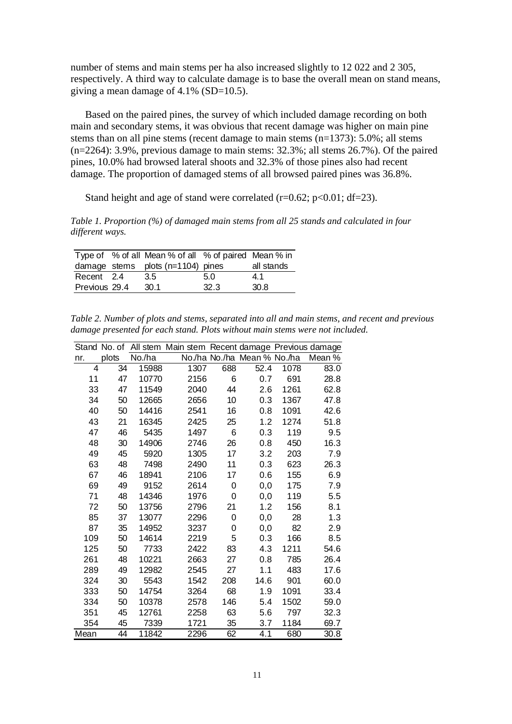number of stems and main stems per ha also increased slightly to 12 022 and 2 305, respectively. A third way to calculate damage is to base the overall mean on stand means, giving a mean damage of 4.1% (SD=10.5).

Based on the paired pines, the survey of which included damage recording on both main and secondary stems, it was obvious that recent damage was higher on main pine stems than on all pine stems (recent damage to main stems (n=1373): 5.0%; all stems (n=2264): 3.9%, previous damage to main stems: 32.3%; all stems 26.7%). Of the paired pines, 10.0% had browsed lateral shoots and 32.3% of those pines also had recent damage. The proportion of damaged stems of all browsed paired pines was 36.8%.

Stand height and age of stand were correlated ( $r=0.62$ ;  $p<0.01$ ; df=23).

*Table 1. Proportion (%) of damaged main stems from all 25 stands and calculated in four different ways.* 

|               | Type of % of all Mean % of all % of paired Mean % in |      |            |
|---------------|------------------------------------------------------|------|------------|
|               | damage stems plots $(n=1104)$ pines                  |      | all stands |
| Recent 2.4    | 3.5                                                  | 5.0  | 4.1        |
| Previous 29.4 | -30.1                                                | 32.3 | 30.8       |

*Table 2. Number of plots and stems, separated into all and main stems, and recent and previous damage presented for each stand. Plots without main stems were not included.* 

|      | Stand No. of |        | All stem Main stem Recent damage Previous damage |     |                             |      |        |
|------|--------------|--------|--------------------------------------------------|-----|-----------------------------|------|--------|
| nr.  | plots        | No./ha |                                                  |     | No./ha No./ha Mean % No./ha |      | Mean % |
| 4    | 34           | 15988  | 1307                                             | 688 | 52.4                        | 1078 | 83.0   |
| 11   | 47           | 10770  | 2156                                             | 6   | 0.7                         | 691  | 28.8   |
| 33   | 47           | 11549  | 2040                                             | 44  | 2.6                         | 1261 | 62.8   |
| 34   | 50           | 12665  | 2656                                             | 10  | 0.3                         | 1367 | 47.8   |
| 40   | 50           | 14416  | 2541                                             | 16  | 0.8                         | 1091 | 42.6   |
| 43   | 21           | 16345  | 2425                                             | 25  | 1.2                         | 1274 | 51.8   |
| 47   | 46           | 5435   | 1497                                             | 6   | 0.3                         | 119  | 9.5    |
| 48   | 30           | 14906  | 2746                                             | 26  | 0.8                         | 450  | 16.3   |
| 49   | 45           | 5920   | 1305                                             | 17  | 3.2                         | 203  | 7.9    |
| 63   | 48           | 7498   | 2490                                             | 11  | 0.3                         | 623  | 26.3   |
| 67   | 46           | 18941  | 2106                                             | 17  | 0.6                         | 155  | 6.9    |
| 69   | 49           | 9152   | 2614                                             | 0   | 0,0                         | 175  | 7.9    |
| 71   | 48           | 14346  | 1976                                             | 0   | 0,0                         | 119  | 5.5    |
| 72   | 50           | 13756  | 2796                                             | 21  | 1.2                         | 156  | 8.1    |
| 85   | 37           | 13077  | 2296                                             | 0   | 0,0                         | 28   | 1.3    |
| 87   | 35           | 14952  | 3237                                             | 0   | 0,0                         | 82   | 2.9    |
| 109  | 50           | 14614  | 2219                                             | 5   | 0.3                         | 166  | 8.5    |
| 125  | 50           | 7733   | 2422                                             | 83  | 4.3                         | 1211 | 54.6   |
| 261  | 48           | 10221  | 2663                                             | 27  | 0.8                         | 785  | 26.4   |
| 289  | 49           | 12982  | 2545                                             | 27  | 1.1                         | 483  | 17.6   |
| 324  | 30           | 5543   | 1542                                             | 208 | 14.6                        | 901  | 60.0   |
| 333  | 50           | 14754  | 3264                                             | 68  | 1.9                         | 1091 | 33.4   |
| 334  | 50           | 10378  | 2578                                             | 146 | 5.4                         | 1502 | 59.0   |
| 351  | 45           | 12761  | 2258                                             | 63  | 5.6                         | 797  | 32.3   |
| 354  | 45           | 7339   | 1721                                             | 35  | 3.7                         | 1184 | 69.7   |
| Mean | 44           | 11842  | 2296                                             | 62  | 4.1                         | 680  | 30.8   |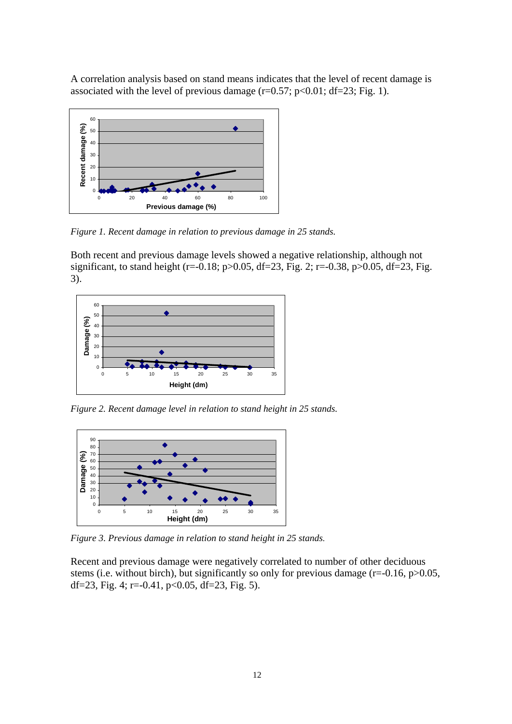A correlation analysis based on stand means indicates that the level of recent damage is associated with the level of previous damage  $(r=0.57; p<0.01; df=23; Fig. 1)$ .



*Figure 1. Recent damage in relation to previous damage in 25 stands.* 

Both recent and previous damage levels showed a negative relationship, although not significant, to stand height (r=-0.18; p>0.05, df=23, Fig. 2; r=-0.38, p>0.05, df=23, Fig. 3).



*Figure 2. Recent damage level in relation to stand height in 25 stands.* 



*Figure 3. Previous damage in relation to stand height in 25 stands.* 

Recent and previous damage were negatively correlated to number of other deciduous stems (i.e. without birch), but significantly so only for previous damage  $(r=0.16, p>0.05,$ df=23, Fig. 4; r=-0.41, p<0.05, df=23, Fig. 5).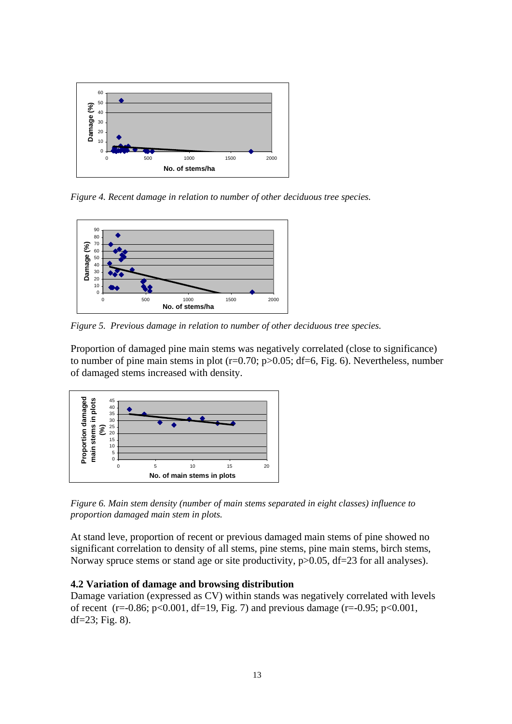

*Figure 4. Recent damage in relation to number of other deciduous tree species.* 



*Figure 5. Previous damage in relation to number of other deciduous tree species.* 

Proportion of damaged pine main stems was negatively correlated (close to significance) to number of pine main stems in plot  $(r=0.70; p>0.05; df=6, Fig. 6)$ . Nevertheless, number of damaged stems increased with density.



*Figure 6. Main stem density (number of main stems separated in eight classes) influence to proportion damaged main stem in plots.* 

At stand leve, proportion of recent or previous damaged main stems of pine showed no significant correlation to density of all stems, pine stems, pine main stems, birch stems, Norway spruce stems or stand age or site productivity,  $p > 0.05$ , df=23 for all analyses).

#### **4.2 Variation of damage and browsing distribution**

Damage variation (expressed as CV) within stands was negatively correlated with levels of recent (r=-0.86; p<0.001, df=19, Fig. 7) and previous damage (r=-0.95; p<0.001,  $df = 23$ ; Fig. 8).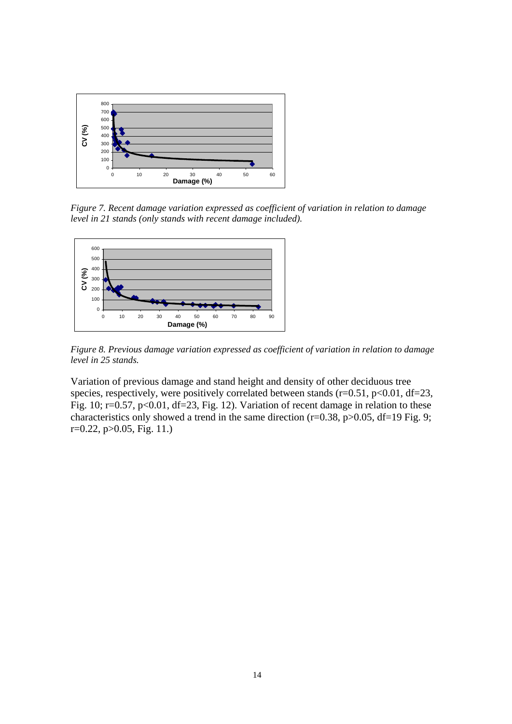

*Figure 7. Recent damage variation expressed as coefficient of variation in relation to damage level in 21 stands (only stands with recent damage included).* 



*Figure 8. Previous damage variation expressed as coefficient of variation in relation to damage level in 25 stands.* 

Variation of previous damage and stand height and density of other deciduous tree species, respectively, were positively correlated between stands ( $r=0.51$ ,  $p<0.01$ ,  $df=23$ , Fig. 10; r=0.57, p<0.01, df=23, Fig. 12). Variation of recent damage in relation to these characteristics only showed a trend in the same direction ( $r=0.38$ ,  $p>0.05$ ,  $df=19$  Fig. 9; r=0.22, p>0.05, Fig. 11.)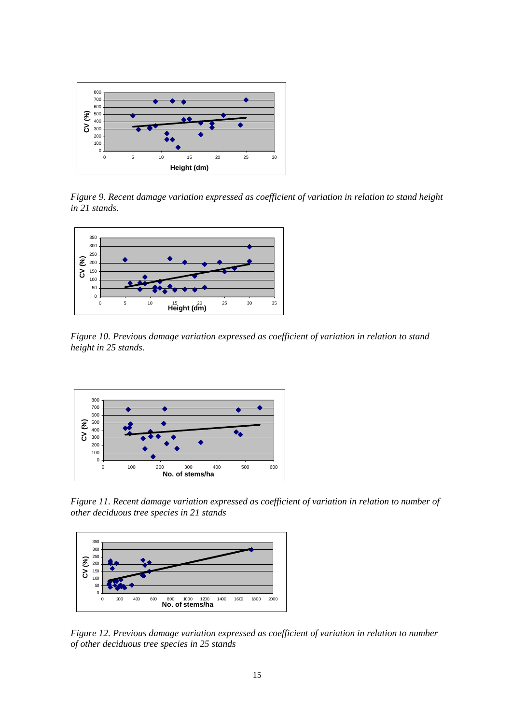

*Figure 9. Recent damage variation expressed as coefficient of variation in relation to stand height in 21 stands.* 



*Figure 10. Previous damage variation expressed as coefficient of variation in relation to stand height in 25 stands.* 



*Figure 11. Recent damage variation expressed as coefficient of variation in relation to number of other deciduous tree species in 21 stands* 



*Figure 12. Previous damage variation expressed as coefficient of variation in relation to number of other deciduous tree species in 25 stands*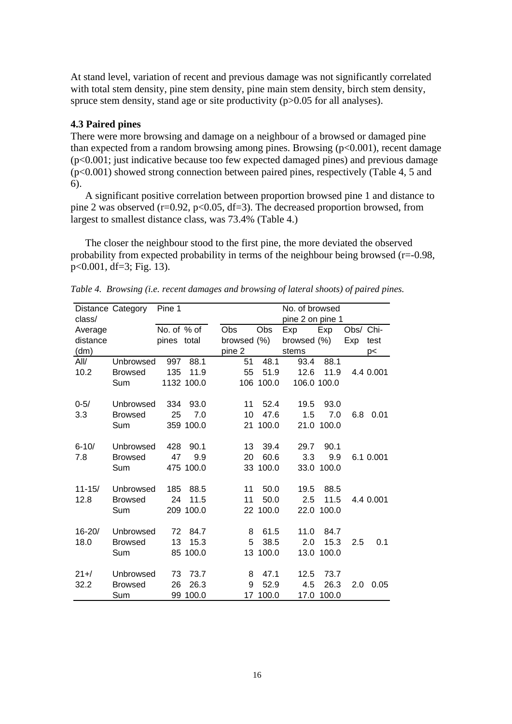At stand level, variation of recent and previous damage was not significantly correlated with total stem density, pine stem density, pine main stem density, birch stem density, spruce stem density, stand age or site productivity (p>0.05 for all analyses).

#### **4.3 Paired pines**

There were more browsing and damage on a neighbour of a browsed or damaged pine than expected from a random browsing among pines. Browsing  $(p<0.001)$ , recent damage  $(p<0.001$ ; just indicative because too few expected damaged pines) and previous damage (p<0.001) showed strong connection between paired pines, respectively (Table 4, 5 and 6).

 A significant positive correlation between proportion browsed pine 1 and distance to pine 2 was observed ( $r=0.92$ ,  $p<0.05$ ,  $df=3$ ). The decreased proportion browsed, from largest to smallest distance class, was 73.4% (Table 4.)

The closer the neighbour stood to the first pine, the more deviated the observed probability from expected probability in terms of the neighbour being browsed  $(r=0.98,$ p<0.001, df=3; Fig. 13).

|            | Pine 1<br>Distance Category<br>No. of browsed |             |            |             |                  |             |             |      |           |  |
|------------|-----------------------------------------------|-------------|------------|-------------|------------------|-------------|-------------|------|-----------|--|
| class/     |                                               |             |            |             | pine 2 on pine 1 |             |             |      |           |  |
| Average    |                                               | No. of % of |            | Obs         | Obs              | Exp         | Exp         | Obs/ | Chi-      |  |
| distance   |                                               | pines total |            | browsed (%) |                  | browsed (%) |             | Exp  | test      |  |
| (dm)       |                                               |             |            | pine 2      |                  | stems       |             |      | p<        |  |
| All/       | Unbrowsed                                     | 997         | 88.1       | 51          | 48.1             | 93.4        | 88.1        |      |           |  |
| 10.2       | <b>Browsed</b>                                | 135         | 11.9       | 55          | 51.9             | 12.6        | 11.9        |      | 4.4 0.001 |  |
|            | Sum                                           |             | 1132 100.0 |             | 106 100.0        |             | 106.0 100.0 |      |           |  |
| $0 - 5/$   | Unbrowsed                                     | 334         | 93.0       | 11          | 52.4             | 19.5        | 93.0        |      |           |  |
| 3.3        | <b>Browsed</b>                                | 25          | 7.0        | 10          | 47.6             | 1.5         | 7.0         | 6.8  | 0.01      |  |
|            | Sum                                           |             | 359 100.0  | 21          | 100.0            | 21.0        | 100.0       |      |           |  |
|            |                                               |             |            |             |                  |             |             |      |           |  |
| $6 - 10/$  | Unbrowsed                                     | 428         | 90.1       | 13          | 39.4             | 29.7        | 90.1        |      |           |  |
| 7.8        | <b>Browsed</b>                                | 47          | 9.9        | 20          | 60.6             | 3.3         | 9.9         |      | 6.1 0.001 |  |
|            | Sum                                           |             | 475 100.0  |             | 33 100.0         | 33.0        | 100.0       |      |           |  |
| $11 - 15/$ | Unbrowsed                                     | 185         | 88.5       | 11          | 50.0             | 19.5        | 88.5        |      |           |  |
| 12.8       | <b>Browsed</b>                                | 24          | 11.5       | 11          | 50.0             | 2.5         | 11.5        |      | 4.4 0.001 |  |
|            | Sum                                           |             | 209 100.0  |             | 22 100.0         | 22.0        | 100.0       |      |           |  |
|            |                                               |             |            |             |                  |             |             |      |           |  |
| $16 - 20/$ | Unbrowsed                                     | 72          | 84.7       | 8           | 61.5             | 11.0        | 84.7        |      |           |  |
| 18.0       | <b>Browsed</b>                                | 13          | 15.3       | 5           | 38.5             | 2.0         | 15.3        | 2.5  | 0.1       |  |
|            | Sum                                           |             | 85 100.0   |             | 13 100.0         | 13.0        | 100.0       |      |           |  |
| $21 +$ /   | Unbrowsed                                     | 73          | 73.7       | 8           | 47.1             | 12.5        | 73.7        |      |           |  |
|            |                                               |             |            |             |                  |             |             |      |           |  |
| 32.2       | <b>Browsed</b>                                | 26          | 26.3       | 9           | 52.9             | 4.5         | 26.3        | 2.0  | 0.05      |  |
|            | Sum                                           |             | 99 100.0   | 17          | 100.0            | 17.0        | 100.0       |      |           |  |

*Table 4. Browsing (i.e. recent damages and browsing of lateral shoots) of paired pines.*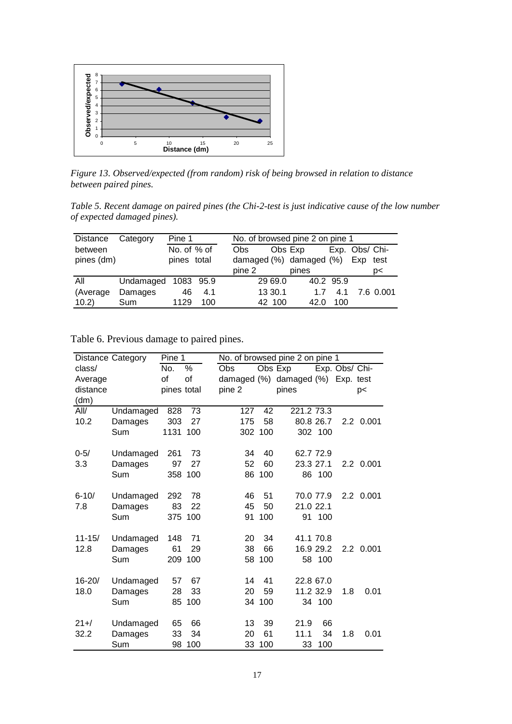

*Figure 13. Observed/expected (from random) risk of being browsed in relation to distance between paired pines.* 

*Table 5. Recent damage on paired pines (the Chi-2-test is just indicative cause of the low number of expected damaged pines).* 

| Distance   | Pine 1              |             |     | No. of browsed pine 2 on pine 1 |            |         |                         |           |                |           |
|------------|---------------------|-------------|-----|---------------------------------|------------|---------|-------------------------|-----------|----------------|-----------|
| between    |                     | No. of % of |     |                                 | <b>Obs</b> |         | Obs Exp                 |           | Exp. Obs/ Chi- |           |
| pines (dm) |                     | pines total |     |                                 |            |         | damaged (%) damaged (%) |           | Exp            | test      |
|            |                     |             |     |                                 | pine 2     |         | pines                   |           |                | p<        |
| All        | Undamaged 1083 95.9 |             |     |                                 |            | 29 69.0 |                         | 40.2 95.9 |                |           |
| (Average)  | Damages             | 46          | 4.1 |                                 |            | 13 30.1 | 17                      | 4.1       |                | 7.6 0.001 |
| 10.2)      | <b>Sum</b>          | 1129        | 100 |                                 |            | 42 100  | 42.0                    | 100       |                |           |

Table 6. Previous damage to paired pines.

|            | <b>Distance Category</b> |             | No. of browsed pine 2 on pine 1 |        |         |                                   |           |                |           |
|------------|--------------------------|-------------|---------------------------------|--------|---------|-----------------------------------|-----------|----------------|-----------|
| class/     |                          | No.         | %                               | Obs    |         | Obs Exp                           |           | Exp. Obs/ Chi- |           |
| Average    |                          | of          | of                              |        |         | damaged (%) damaged (%) Exp. test |           |                |           |
| distance   |                          | pines total |                                 | pine 2 |         | pines                             |           |                | p<        |
| (dm)       |                          |             |                                 |        |         |                                   |           |                |           |
| All/       | Undamaged                | 828         | 73                              | 127    | 42      | 221.2 73.3                        |           |                |           |
| 10.2       | Damages                  | 303         | 27                              | 175    | 58      |                                   | 80.8 26.7 |                | 2.2 0.001 |
|            | Sum                      | 1131        | 100                             |        | 302 100 |                                   | 302 100   |                |           |
| $0 - 5/$   | Undamaged                | 261         | 73                              | 34     | 40      |                                   | 62.7 72.9 |                |           |
| 3.3        | Damages                  | 97          | 27                              | 52     | 60      |                                   | 23.3 27.1 |                | 2.2 0.001 |
|            | Sum                      | 358         | 100                             |        | 86 100  |                                   | 86 100    |                |           |
| $6 - 10/$  | Undamaged                | 292         | 78                              | 46     | 51      |                                   | 70.0 77.9 |                | 2.2 0.001 |
| 7.8        | Damages                  | 83          | 22                              | 45     | 50      | 21.0 22.1                         |           |                |           |
|            | Sum                      | 375         | 100                             | 91     | 100     |                                   | 91 100    |                |           |
| $11 - 15/$ | Undamaged                | 148         | 71                              | 20     | 34      |                                   | 41.1 70.8 |                |           |
| 12.8       | Damages                  | 61          | 29                              | 38     | 66      |                                   | 16.9 29.2 |                | 2.2 0.001 |
|            | Sum                      | 209         | 100                             |        | 58 100  |                                   | 58 100    |                |           |
|            |                          |             | 67                              |        | 41      |                                   | 22.8 67.0 |                |           |
| 16-20/     | Undamaged                | 57          |                                 | 14     |         |                                   |           |                |           |
| 18.0       | Damages                  | 28          | 33                              | 20     | 59      |                                   | 11.2 32.9 | 1.8            | 0.01      |
|            | Sum                      | 85          | 100                             |        | 34 100  |                                   | 34 100    |                |           |
| $21 +$ /   | Undamaged                | 65          | 66                              | 13     | 39      | 21.9                              | 66        |                |           |
| 32.2       | Damages                  | 33          | 34                              | 20     | 61      | 11.1                              | 34        | 1.8            | 0.01      |
|            | Sum                      | 98          | 100                             | 33     | 100     | 33                                | 100       |                |           |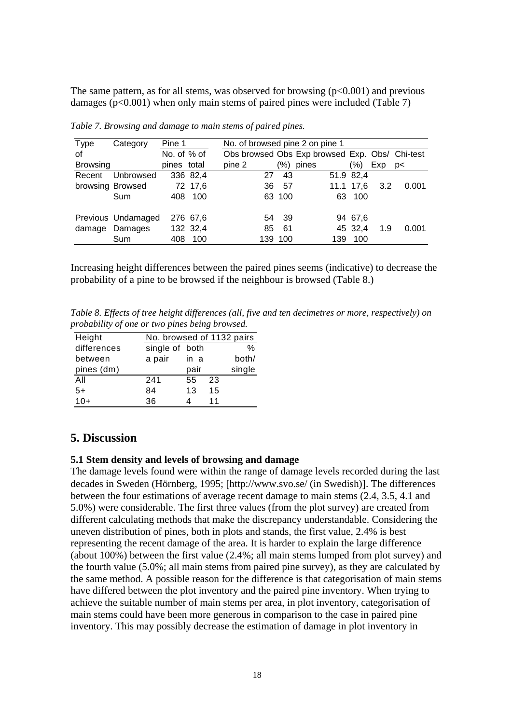The same pattern, as for all stems, was observed for browsing  $(p<0.001)$  and previous damages ( $p<0.001$ ) when only main stems of paired pines were included (Table 7)

| <b>Type</b>     | Category           | Pine 1      |          | No. of browsed pine 2 on pine 1                |         |       |     |           |               |       |
|-----------------|--------------------|-------------|----------|------------------------------------------------|---------|-------|-----|-----------|---------------|-------|
| of              |                    | No. of % of |          | Obs browsed Obs Exp browsed Exp. Obs/ Chi-test |         |       |     |           |               |       |
| <b>Browsing</b> |                    | pines total |          | pine 2                                         | (%)     | pines |     | $(\% )$   | Exp           | p     |
| Recent          | Unbrowsed          |             | 336 82,4 | 27                                             | 43      |       |     | 51.9 82,4 |               |       |
|                 | browsing Browsed   |             | 72 17,6  | 36                                             | 57      |       |     | 11.1 17,6 | $3.2^{\circ}$ | 0.001 |
|                 | Sum                | 408         | 100      |                                                | 63 100  |       |     | 63 100    |               |       |
|                 | Previous Undamaged |             | 276 67.6 |                                                | 54 39   |       |     | 94 67,6   |               |       |
|                 | damage Damages     |             | 132 32,4 | 85                                             | 61      |       |     | 45 32,4   | 1.9           | 0.001 |
|                 | Sum                | 408         | 100      |                                                | 139 100 |       | 139 | 100       |               |       |

*Table 7. Browsing and damage to main stems of paired pines.* 

Increasing height differences between the paired pines seems (indicative) to decrease the probability of a pine to be browsed if the neighbour is browsed (Table 8.)

*Table 8. Effects of tree height differences (all, five and ten decimetres or more, respectively) on probability of one or two pines being browsed.* 

| Height      | No. browsed of 1132 pairs |      |    |        |
|-------------|---------------------------|------|----|--------|
| differences | single of both            |      |    | %      |
| between     | a pair                    | in a |    | both/  |
| pines (dm)  |                           | pair |    | single |
| All         | 241                       | 55   | 23 |        |
| $5+$        | 84                        | 13   | 15 |        |
| $10+$       | 36                        |      | 11 |        |

#### **5. Discussion**

#### **5.1 Stem density and levels of browsing and damage**

The damage levels found were within the range of damage levels recorded during the last decades in Sweden (Hörnberg, 1995; http://www.svo.se/ (in Swedish). The differences between the four estimations of average recent damage to main stems (2.4, 3.5, 4.1 and 5.0%) were considerable. The first three values (from the plot survey) are created from different calculating methods that make the discrepancy understandable. Considering the uneven distribution of pines, both in plots and stands, the first value, 2.4% is best representing the recent damage of the area. It is harder to explain the large difference (about 100%) between the first value (2.4%; all main stems lumped from plot survey) and the fourth value (5.0%; all main stems from paired pine survey), as they are calculated by the same method. A possible reason for the difference is that categorisation of main stems have differed between the plot inventory and the paired pine inventory. When trying to achieve the suitable number of main stems per area, in plot inventory, categorisation of main stems could have been more generous in comparison to the case in paired pine inventory. This may possibly decrease the estimation of damage in plot inventory in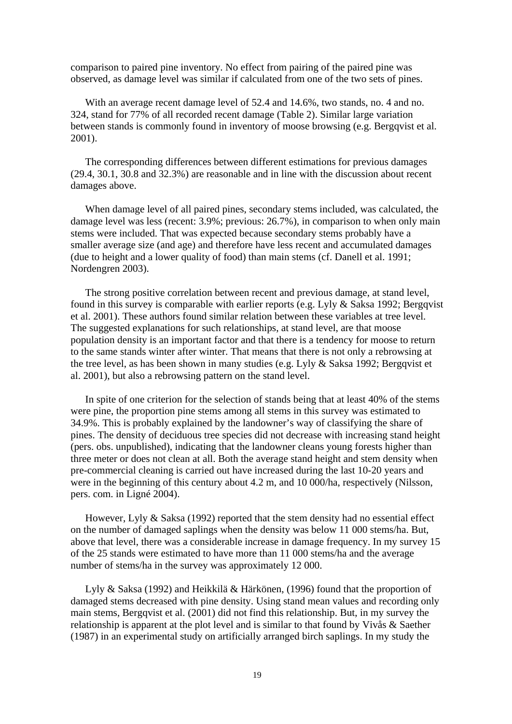comparison to paired pine inventory. No effect from pairing of the paired pine was observed, as damage level was similar if calculated from one of the two sets of pines.

With an average recent damage level of 52.4 and 14.6%, two stands, no. 4 and no. 324, stand for 77% of all recorded recent damage (Table 2). Similar large variation between stands is commonly found in inventory of moose browsing (e.g. Bergqvist et al. 2001).

 The corresponding differences between different estimations for previous damages (29.4, 30.1, 30.8 and 32.3%) are reasonable and in line with the discussion about recent damages above.

When damage level of all paired pines, secondary stems included, was calculated, the damage level was less (recent: 3.9%; previous: 26.7%), in comparison to when only main stems were included. That was expected because secondary stems probably have a smaller average size (and age) and therefore have less recent and accumulated damages (due to height and a lower quality of food) than main stems (cf. Danell et al. 1991; Nordengren 2003).

The strong positive correlation between recent and previous damage, at stand level, found in this survey is comparable with earlier reports (e.g. Lyly & Saksa 1992; Bergqvist et al. 2001). These authors found similar relation between these variables at tree level. The suggested explanations for such relationships, at stand level, are that moose population density is an important factor and that there is a tendency for moose to return to the same stands winter after winter. That means that there is not only a rebrowsing at the tree level, as has been shown in many studies (e.g. Lyly & Saksa 1992; Bergqvist et al. 2001), but also a rebrowsing pattern on the stand level.

In spite of one criterion for the selection of stands being that at least 40% of the stems were pine, the proportion pine stems among all stems in this survey was estimated to 34.9%. This is probably explained by the landowner's way of classifying the share of pines. The density of deciduous tree species did not decrease with increasing stand height (pers. obs. unpublished), indicating that the landowner cleans young forests higher than three meter or does not clean at all. Both the average stand height and stem density when pre-commercial cleaning is carried out have increased during the last 10-20 years and were in the beginning of this century about 4.2 m, and 10 000/ha, respectively (Nilsson, pers. com. in Ligné 2004).

However, Lyly  $\&$  Saksa (1992) reported that the stem density had no essential effect on the number of damaged saplings when the density was below 11 000 stems/ha. But, above that level, there was a considerable increase in damage frequency. In my survey 15 of the 25 stands were estimated to have more than 11 000 stems/ha and the average number of stems/ha in the survey was approximately 12 000.

Lyly & Saksa (1992) and Heikkilä & Härkönen, (1996) found that the proportion of damaged stems decreased with pine density. Using stand mean values and recording only main stems, Bergqvist et al. (2001) did not find this relationship. But, in my survey the relationship is apparent at the plot level and is similar to that found by Vivås & Saether (1987) in an experimental study on artificially arranged birch saplings. In my study the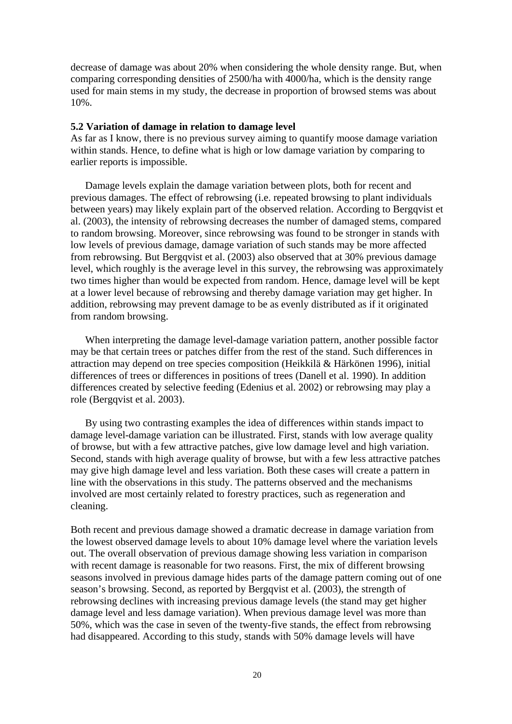decrease of damage was about 20% when considering the whole density range. But, when comparing corresponding densities of 2500/ha with 4000/ha, which is the density range used for main stems in my study, the decrease in proportion of browsed stems was about 10%.

#### **5.2 Variation of damage in relation to damage level**

As far as I know, there is no previous survey aiming to quantify moose damage variation within stands. Hence, to define what is high or low damage variation by comparing to earlier reports is impossible.

Damage levels explain the damage variation between plots, both for recent and previous damages. The effect of rebrowsing (i.e. repeated browsing to plant individuals between years) may likely explain part of the observed relation. According to Bergqvist et al. (2003), the intensity of rebrowsing decreases the number of damaged stems, compared to random browsing. Moreover, since rebrowsing was found to be stronger in stands with low levels of previous damage, damage variation of such stands may be more affected from rebrowsing. But Bergqvist et al. (2003) also observed that at 30% previous damage level, which roughly is the average level in this survey, the rebrowsing was approximately two times higher than would be expected from random. Hence, damage level will be kept at a lower level because of rebrowsing and thereby damage variation may get higher. In addition, rebrowsing may prevent damage to be as evenly distributed as if it originated from random browsing.

 When interpreting the damage level-damage variation pattern, another possible factor may be that certain trees or patches differ from the rest of the stand. Such differences in attraction may depend on tree species composition (Heikkilä & Härkönen 1996), initial differences of trees or differences in positions of trees (Danell et al. 1990). In addition differences created by selective feeding (Edenius et al. 2002) or rebrowsing may play a role (Bergqvist et al. 2003).

By using two contrasting examples the idea of differences within stands impact to damage level-damage variation can be illustrated. First, stands with low average quality of browse, but with a few attractive patches, give low damage level and high variation. Second, stands with high average quality of browse, but with a few less attractive patches may give high damage level and less variation. Both these cases will create a pattern in line with the observations in this study. The patterns observed and the mechanisms involved are most certainly related to forestry practices, such as regeneration and cleaning.

Both recent and previous damage showed a dramatic decrease in damage variation from the lowest observed damage levels to about 10% damage level where the variation levels out. The overall observation of previous damage showing less variation in comparison with recent damage is reasonable for two reasons. First, the mix of different browsing seasons involved in previous damage hides parts of the damage pattern coming out of one season's browsing. Second, as reported by Bergqvist et al. (2003), the strength of rebrowsing declines with increasing previous damage levels (the stand may get higher damage level and less damage variation). When previous damage level was more than 50%, which was the case in seven of the twenty-five stands, the effect from rebrowsing had disappeared. According to this study, stands with 50% damage levels will have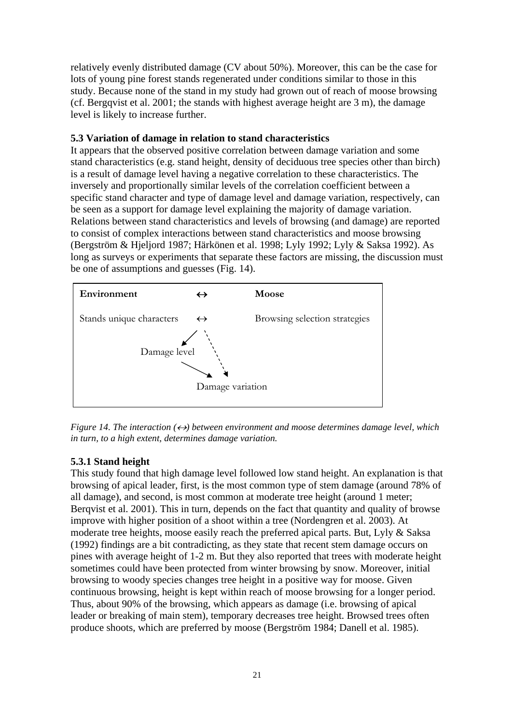relatively evenly distributed damage (CV about 50%). Moreover, this can be the case for lots of young pine forest stands regenerated under conditions similar to those in this study. Because none of the stand in my study had grown out of reach of moose browsing (cf. Bergqvist et al. 2001; the stands with highest average height are 3 m), the damage level is likely to increase further.

### **5.3 Variation of damage in relation to stand characteristics**

It appears that the observed positive correlation between damage variation and some stand characteristics (e.g. stand height, density of deciduous tree species other than birch) is a result of damage level having a negative correlation to these characteristics. The inversely and proportionally similar levels of the correlation coefficient between a specific stand character and type of damage level and damage variation, respectively, can be seen as a support for damage level explaining the majority of damage variation. Relations between stand characteristics and levels of browsing (and damage) are reported to consist of complex interactions between stand characteristics and moose browsing (Bergström & Hjeljord 1987; Härkönen et al. 1998; Lyly 1992; Lyly & Saksa 1992). As long as surveys or experiments that separate these factors are missing, the discussion must be one of assumptions and guesses (Fig. 14).



*Figure 14. The interaction*  $(\leftrightarrow)$  between environment and moose determines damage level, which *in turn, to a high extent, determines damage variation.*

## **5.3.1 Stand height**

This study found that high damage level followed low stand height. An explanation is that browsing of apical leader, first, is the most common type of stem damage (around 78% of all damage), and second, is most common at moderate tree height (around 1 meter; Berqvist et al. 2001). This in turn, depends on the fact that quantity and quality of browse improve with higher position of a shoot within a tree (Nordengren et al. 2003). At moderate tree heights, moose easily reach the preferred apical parts. But, Lyly & Saksa (1992) findings are a bit contradicting, as they state that recent stem damage occurs on pines with average height of 1-2 m. But they also reported that trees with moderate height sometimes could have been protected from winter browsing by snow. Moreover, initial browsing to woody species changes tree height in a positive way for moose. Given continuous browsing, height is kept within reach of moose browsing for a longer period. Thus, about 90% of the browsing, which appears as damage (i.e. browsing of apical leader or breaking of main stem), temporary decreases tree height. Browsed trees often produce shoots, which are preferred by moose (Bergström 1984; Danell et al. 1985).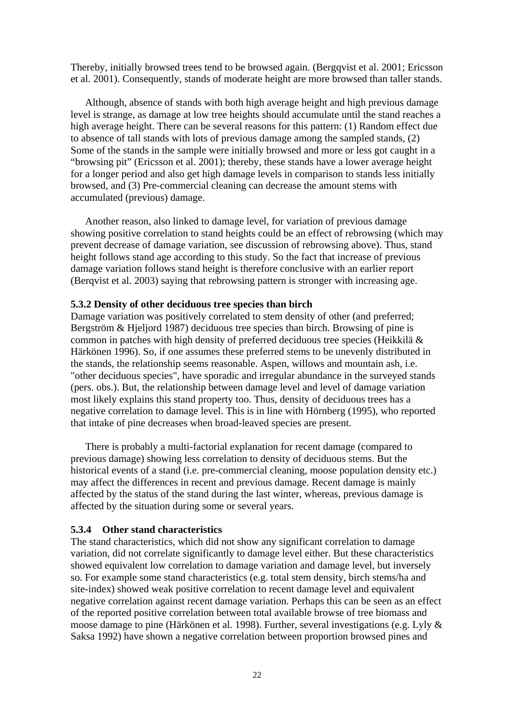Thereby, initially browsed trees tend to be browsed again. (Bergqvist et al. 2001; Ericsson et al. 2001). Consequently, stands of moderate height are more browsed than taller stands.

 Although, absence of stands with both high average height and high previous damage level is strange, as damage at low tree heights should accumulate until the stand reaches a high average height. There can be several reasons for this pattern: (1) Random effect due to absence of tall stands with lots of previous damage among the sampled stands, (2) Some of the stands in the sample were initially browsed and more or less got caught in a "browsing pit" (Ericsson et al. 2001); thereby, these stands have a lower average height for a longer period and also get high damage levels in comparison to stands less initially browsed, and (3) Pre-commercial cleaning can decrease the amount stems with accumulated (previous) damage.

 Another reason, also linked to damage level, for variation of previous damage showing positive correlation to stand heights could be an effect of rebrowsing (which may prevent decrease of damage variation, see discussion of rebrowsing above). Thus, stand height follows stand age according to this study. So the fact that increase of previous damage variation follows stand height is therefore conclusive with an earlier report (Berqvist et al. 2003) saying that rebrowsing pattern is stronger with increasing age.

#### **5.3.2 Density of other deciduous tree species than birch**

Damage variation was positively correlated to stem density of other (and preferred; Bergström & Hjeljord 1987) deciduous tree species than birch. Browsing of pine is common in patches with high density of preferred deciduous tree species (Heikkilä & Härkönen 1996). So, if one assumes these preferred stems to be unevenly distributed in the stands, the relationship seems reasonable. Aspen, willows and mountain ash, i.e. "other deciduous species", have sporadic and irregular abundance in the surveyed stands (pers. obs.). But, the relationship between damage level and level of damage variation most likely explains this stand property too. Thus, density of deciduous trees has a negative correlation to damage level. This is in line with Hörnberg (1995), who reported that intake of pine decreases when broad-leaved species are present.

There is probably a multi-factorial explanation for recent damage (compared to previous damage) showing less correlation to density of deciduous stems. But the historical events of a stand (i.e. pre-commercial cleaning, moose population density etc.) may affect the differences in recent and previous damage. Recent damage is mainly affected by the status of the stand during the last winter, whereas, previous damage is affected by the situation during some or several years.

#### **5.3.4 Other stand characteristics**

The stand characteristics, which did not show any significant correlation to damage variation, did not correlate significantly to damage level either. But these characteristics showed equivalent low correlation to damage variation and damage level, but inversely so. For example some stand characteristics (e.g. total stem density, birch stems/ha and site-index) showed weak positive correlation to recent damage level and equivalent negative correlation against recent damage variation. Perhaps this can be seen as an effect of the reported positive correlation between total available browse of tree biomass and moose damage to pine (Härkönen et al. 1998). Further, several investigations (e.g. Lyly & Saksa 1992) have shown a negative correlation between proportion browsed pines and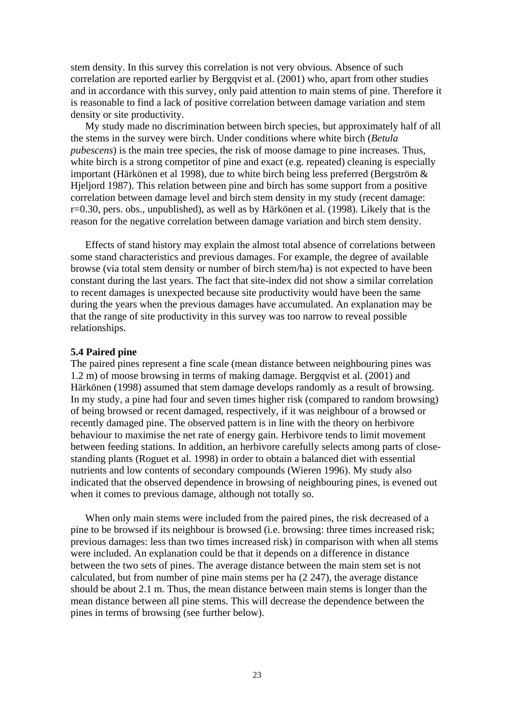stem density. In this survey this correlation is not very obvious. Absence of such correlation are reported earlier by Bergqvist et al. (2001) who, apart from other studies and in accordance with this survey, only paid attention to main stems of pine. Therefore it is reasonable to find a lack of positive correlation between damage variation and stem density or site productivity.

 My study made no discrimination between birch species, but approximately half of all the stems in the survey were birch. Under conditions where white birch (*Betula pubescens*) is the main tree species, the risk of moose damage to pine increases. Thus, white birch is a strong competitor of pine and exact (e.g. repeated) cleaning is especially important (Härkönen et al 1998), due to white birch being less preferred (Bergström & Hieliord 1987). This relation between pine and birch has some support from a positive correlation between damage level and birch stem density in my study (recent damage: r=0.30, pers. obs., unpublished), as well as by Härkönen et al. (1998). Likely that is the reason for the negative correlation between damage variation and birch stem density.

Effects of stand history may explain the almost total absence of correlations between some stand characteristics and previous damages. For example, the degree of available browse (via total stem density or number of birch stem/ha) is not expected to have been constant during the last years. The fact that site-index did not show a similar correlation to recent damages is unexpected because site productivity would have been the same during the years when the previous damages have accumulated. An explanation may be that the range of site productivity in this survey was too narrow to reveal possible relationships.

#### **5.4 Paired pine**

The paired pines represent a fine scale (mean distance between neighbouring pines was 1.2 m) of moose browsing in terms of making damage. Bergqvist et al. (2001) and Härkönen (1998) assumed that stem damage develops randomly as a result of browsing. In my study, a pine had four and seven times higher risk (compared to random browsing) of being browsed or recent damaged, respectively, if it was neighbour of a browsed or recently damaged pine. The observed pattern is in line with the theory on herbivore behaviour to maximise the net rate of energy gain. Herbivore tends to limit movement between feeding stations. In addition, an herbivore carefully selects among parts of closestanding plants (Roguet et al. 1998) in order to obtain a balanced diet with essential nutrients and low contents of secondary compounds (Wieren 1996). My study also indicated that the observed dependence in browsing of neighbouring pines, is evened out when it comes to previous damage, although not totally so.

When only main stems were included from the paired pines, the risk decreased of a pine to be browsed if its neighbour is browsed (i.e. browsing: three times increased risk; previous damages: less than two times increased risk) in comparison with when all stems were included. An explanation could be that it depends on a difference in distance between the two sets of pines. The average distance between the main stem set is not calculated, but from number of pine main stems per ha (2 247), the average distance should be about 2.1 m. Thus, the mean distance between main stems is longer than the mean distance between all pine stems. This will decrease the dependence between the pines in terms of browsing (see further below).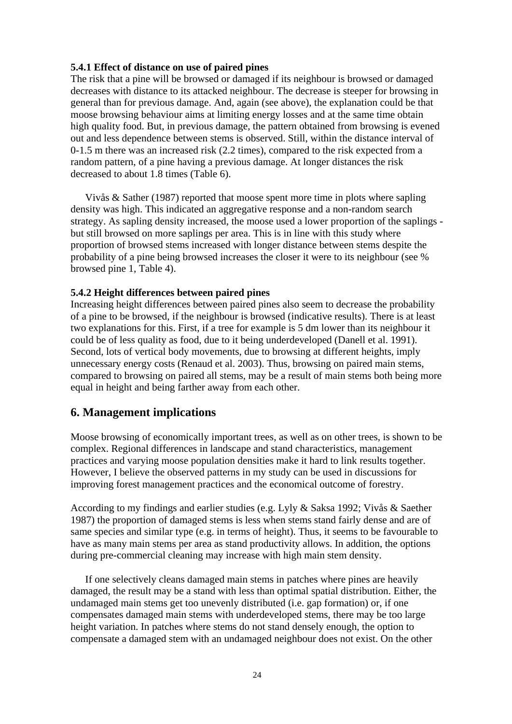#### **5.4.1 Effect of distance on use of paired pines**

The risk that a pine will be browsed or damaged if its neighbour is browsed or damaged decreases with distance to its attacked neighbour. The decrease is steeper for browsing in general than for previous damage. And, again (see above), the explanation could be that moose browsing behaviour aims at limiting energy losses and at the same time obtain high quality food. But, in previous damage, the pattern obtained from browsing is evened out and less dependence between stems is observed. Still, within the distance interval of 0-1.5 m there was an increased risk (2.2 times), compared to the risk expected from a random pattern, of a pine having a previous damage. At longer distances the risk decreased to about 1.8 times (Table 6).

Vivås & Sather (1987) reported that moose spent more time in plots where sapling density was high. This indicated an aggregative response and a non-random search strategy. As sapling density increased, the moose used a lower proportion of the saplings but still browsed on more saplings per area. This is in line with this study where proportion of browsed stems increased with longer distance between stems despite the probability of a pine being browsed increases the closer it were to its neighbour (see % browsed pine 1, Table 4).

#### **5.4.2 Height differences between paired pines**

Increasing height differences between paired pines also seem to decrease the probability of a pine to be browsed, if the neighbour is browsed (indicative results). There is at least two explanations for this. First, if a tree for example is 5 dm lower than its neighbour it could be of less quality as food, due to it being underdeveloped (Danell et al. 1991). Second, lots of vertical body movements, due to browsing at different heights, imply unnecessary energy costs (Renaud et al. 2003). Thus, browsing on paired main stems, compared to browsing on paired all stems, may be a result of main stems both being more equal in height and being farther away from each other.

## **6. Management implications**

Moose browsing of economically important trees, as well as on other trees, is shown to be complex. Regional differences in landscape and stand characteristics, management practices and varying moose population densities make it hard to link results together. However, I believe the observed patterns in my study can be used in discussions for improving forest management practices and the economical outcome of forestry.

According to my findings and earlier studies (e.g. Lyly & Saksa 1992; Vivås & Saether 1987) the proportion of damaged stems is less when stems stand fairly dense and are of same species and similar type (e.g. in terms of height). Thus, it seems to be favourable to have as many main stems per area as stand productivity allows. In addition, the options during pre-commercial cleaning may increase with high main stem density.

 If one selectively cleans damaged main stems in patches where pines are heavily damaged, the result may be a stand with less than optimal spatial distribution. Either, the undamaged main stems get too unevenly distributed (i.e. gap formation) or, if one compensates damaged main stems with underdeveloped stems, there may be too large height variation. In patches where stems do not stand densely enough, the option to compensate a damaged stem with an undamaged neighbour does not exist. On the other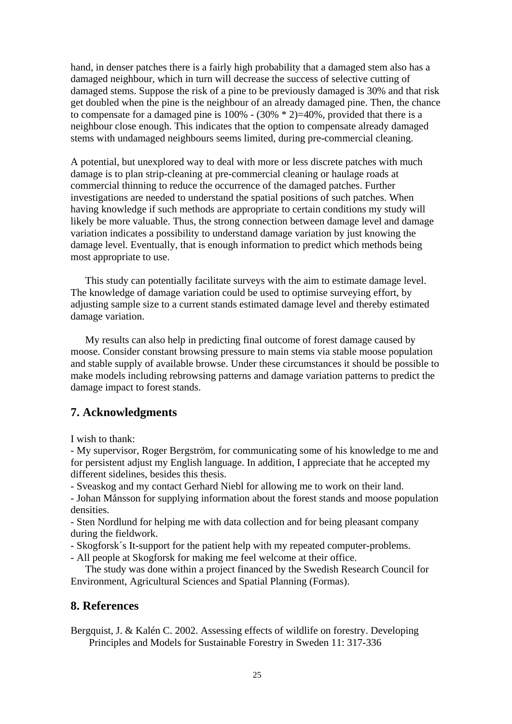hand, in denser patches there is a fairly high probability that a damaged stem also has a damaged neighbour, which in turn will decrease the success of selective cutting of damaged stems. Suppose the risk of a pine to be previously damaged is 30% and that risk get doubled when the pine is the neighbour of an already damaged pine. Then, the chance to compensate for a damaged pine is  $100\%$  -  $(30\% * 2)=40\%$ , provided that there is a neighbour close enough. This indicates that the option to compensate already damaged stems with undamaged neighbours seems limited, during pre-commercial cleaning.

A potential, but unexplored way to deal with more or less discrete patches with much damage is to plan strip-cleaning at pre-commercial cleaning or haulage roads at commercial thinning to reduce the occurrence of the damaged patches. Further investigations are needed to understand the spatial positions of such patches. When having knowledge if such methods are appropriate to certain conditions my study will likely be more valuable. Thus, the strong connection between damage level and damage variation indicates a possibility to understand damage variation by just knowing the damage level. Eventually, that is enough information to predict which methods being most appropriate to use.

 This study can potentially facilitate surveys with the aim to estimate damage level. The knowledge of damage variation could be used to optimise surveying effort, by adjusting sample size to a current stands estimated damage level and thereby estimated damage variation.

My results can also help in predicting final outcome of forest damage caused by moose. Consider constant browsing pressure to main stems via stable moose population and stable supply of available browse. Under these circumstances it should be possible to make models including rebrowsing patterns and damage variation patterns to predict the damage impact to forest stands.

# **7. Acknowledgments**

I wish to thank:

- My supervisor, Roger Bergström, for communicating some of his knowledge to me and for persistent adjust my English language. In addition, I appreciate that he accepted my different sidelines, besides this thesis.

- Sveaskog and my contact Gerhard Niebl for allowing me to work on their land. - Johan Månsson for supplying information about the forest stands and moose population densities.

- Sten Nordlund for helping me with data collection and for being pleasant company during the fieldwork.

- Skogforsk´s It-support for the patient help with my repeated computer-problems.

- All people at Skogforsk for making me feel welcome at their office.

 The study was done within a project financed by the Swedish Research Council for Environment, Agricultural Sciences and Spatial Planning (Formas).

# **8. References**

Bergquist, J. & Kalén C. 2002. Assessing effects of wildlife on forestry. Developing Principles and Models for Sustainable Forestry in Sweden 11: 317-336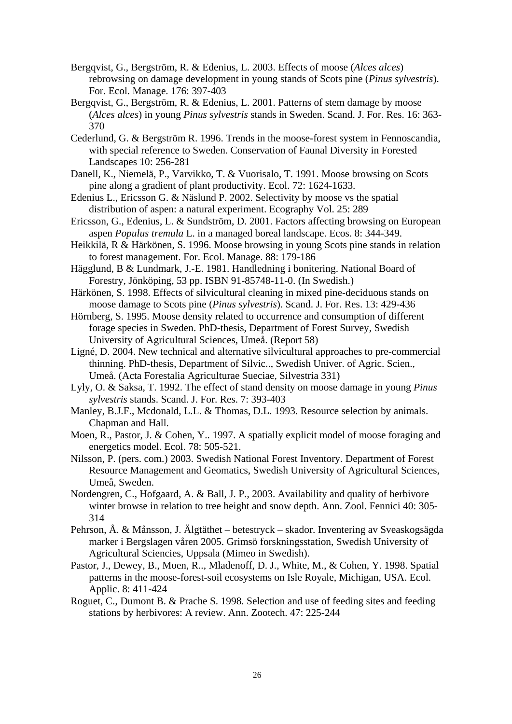- Bergqvist, G., Bergström, R. & Edenius, L. 2003. Effects of moose (*Alces alces*) rebrowsing on damage development in young stands of Scots pine (*Pinus sylvestris*). For. Ecol. Manage. 176: 397-403
- Bergqvist, G., Bergström, R. & Edenius, L. 2001. Patterns of stem damage by moose (*Alces alces*) in young *Pinus sylvestris* stands in Sweden. Scand. J. For. Res. 16: 363- 370
- Cederlund, G. & Bergström R. 1996. Trends in the moose-forest system in Fennoscandia, with special reference to Sweden. Conservation of Faunal Diversity in Forested Landscapes 10: 256-281
- Danell, K., Niemelä, P., Varvikko, T. & Vuorisalo, T. 1991. Moose browsing on Scots pine along a gradient of plant productivity. Ecol. 72: 1624-1633.
- Edenius L., Ericsson G. & Näslund P. 2002. Selectivity by moose vs the spatial distribution of aspen: a natural experiment. Ecography Vol. 25: 289
- Ericsson, G., Edenius, L. & Sundström, D. 2001. Factors affecting browsing on European aspen *Populus tremula* L. in a managed boreal landscape. Ecos. 8: 344-349.
- Heikkilä, R & Härkönen, S. 1996. Moose browsing in young Scots pine stands in relation to forest management. For. Ecol. Manage. 88: 179-186
- Hägglund, B & Lundmark, J.-E. 1981. Handledning i bonitering. National Board of Forestry, Jönköping, 53 pp. ISBN 91-85748-11-0. (In Swedish.)
- Härkönen, S. 1998. Effects of silvicultural cleaning in mixed pine-deciduous stands on moose damage to Scots pine (*Pinus sylvestris*). Scand. J. For. Res. 13: 429-436
- Hörnberg, S. 1995. Moose density related to occurrence and consumption of different forage species in Sweden. PhD-thesis, Department of Forest Survey, Swedish University of Agricultural Sciences, Umeå. (Report 58)
- Ligné, D. 2004. New technical and alternative silvicultural approaches to pre-commercial thinning. PhD-thesis, Department of Silvic.., Swedish Univer. of Agric. Scien., Umeå. (Acta Forestalia Agriculturae Sueciae, Silvestria 331)
- Lyly, O. & Saksa, T. 1992. The effect of stand density on moose damage in young *Pinus sylvestris* stands. Scand. J. For. Res. 7: 393-403
- Manley, B.J.F., Mcdonald, L.L. & Thomas, D.L. 1993. Resource selection by animals. Chapman and Hall.
- Moen, R., Pastor, J. & Cohen, Y.. 1997. A spatially explicit model of moose foraging and energetics model. Ecol. 78: 505-521.
- Nilsson, P. (pers. com.) 2003. Swedish National Forest Inventory. Department of Forest Resource Management and Geomatics, Swedish University of Agricultural Sciences, Umeå, Sweden.
- Nordengren, C., Hofgaard, A. & Ball, J. P., 2003. Availability and quality of herbivore winter browse in relation to tree height and snow depth. Ann. Zool. Fennici 40: 305- 314
- Pehrson, Å. & Månsson, J. Älgtäthet betestryck skador. Inventering av Sveaskogsägda marker i Bergslagen våren 2005. Grimsö forskningsstation, Swedish University of Agricultural Sciencies, Uppsala (Mimeo in Swedish).
- Pastor, J., Dewey, B., Moen, R.., Mladenoff, D. J., White, M., & Cohen, Y. 1998. Spatial patterns in the moose-forest-soil ecosystems on Isle Royale, Michigan, USA. Ecol. Applic. 8: 411-424
- Roguet, C., Dumont B. & Prache S. 1998. Selection and use of feeding sites and feeding stations by herbivores: A review. Ann. Zootech. 47: 225-244